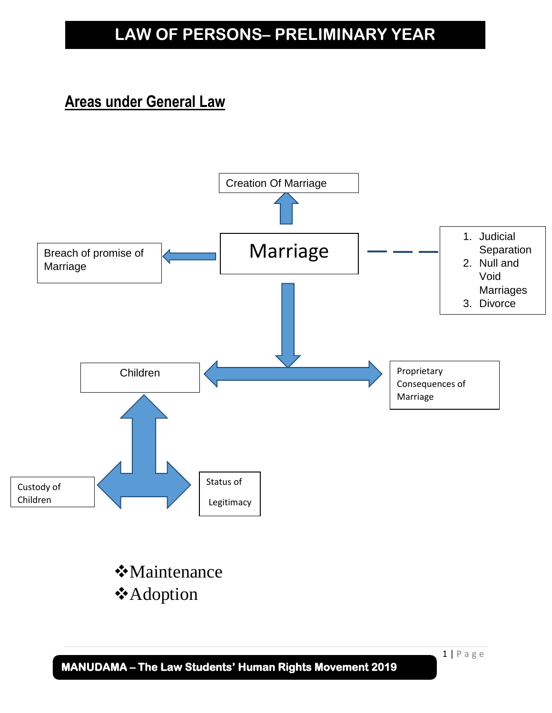### **Areas under General Law**



 **MANUDAMA – The Law Students' Human Rights Movement 2019** 

 $1 | P$  a g e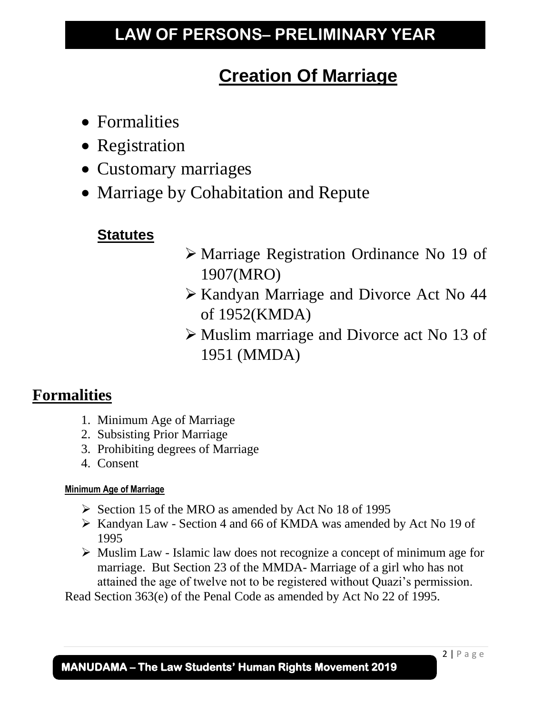# **Creation Of Marriage**

- Formalities
- Registration
- Customary marriages
- Marriage by Cohabitation and Repute

### **Statutes**

- ➢ Marriage Registration Ordinance No 19 of 1907(MRO)
- ➢ Kandyan Marriage and Divorce Act No 44 of 1952(KMDA)
- ➢ Muslim marriage and Divorce act No 13 of 1951 (MMDA)

### **Formalities**

- 1. Minimum Age of Marriage
- 2. Subsisting Prior Marriage
- 3. Prohibiting degrees of Marriage
- 4. Consent

### **Minimum Age of Marriage**

- ➢ Section 15 of the MRO as amended by Act No 18 of 1995
- ➢ Kandyan Law Section 4 and 66 of KMDA was amended by Act No 19 of 1995
- ➢ Muslim Law Islamic law does not recognize a concept of minimum age for marriage. But Section 23 of the MMDA- Marriage of a girl who has not attained the age of twelve not to be registered without Quazi's permission.

Read Section 363(e) of the Penal Code as amended by Act No 22 of 1995.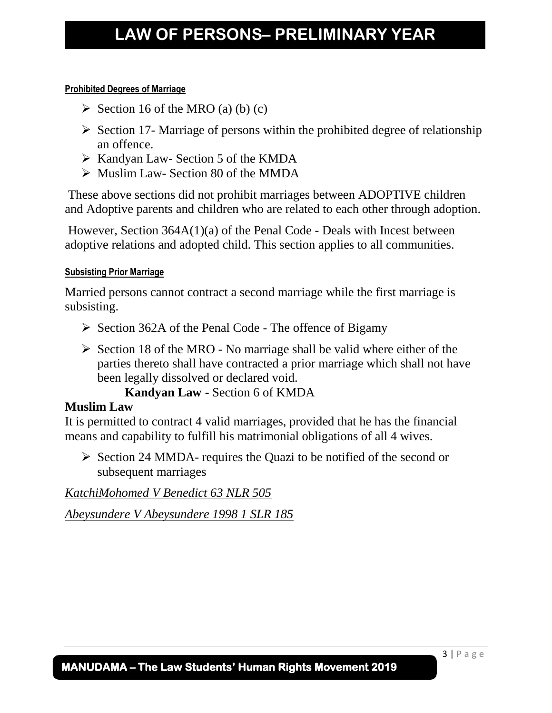#### **Prohibited Degrees of Marriage**

- $\triangleright$  Section 16 of the MRO (a) (b) (c)
- $\triangleright$  Section 17- Marriage of persons within the prohibited degree of relationship an offence.
- ➢ Kandyan Law- Section 5 of the KMDA
- ➢ Muslim Law- Section 80 of the MMDA

These above sections did not prohibit marriages between ADOPTIVE children and Adoptive parents and children who are related to each other through adoption.

However, Section 364A(1)(a) of the Penal Code - Deals with Incest between adoptive relations and adopted child. This section applies to all communities.

#### **Subsisting Prior Marriage**

Married persons cannot contract a second marriage while the first marriage is subsisting.

- ➢ Section 362A of the Penal Code The offence of Bigamy
- $\triangleright$  Section 18 of the MRO No marriage shall be valid where either of the parties thereto shall have contracted a prior marriage which shall not have been legally dissolved or declared void.

 **Kandyan Law -** Section 6 of KMDA

#### **Muslim Law**

It is permitted to contract 4 valid marriages, provided that he has the financial means and capability to fulfill his matrimonial obligations of all 4 wives.

➢ Section 24 MMDA- requires the Quazi to be notified of the second or subsequent marriages

*KatchiMohomed V Benedict 63 NLR 505* 

*Abeysundere V Abeysundere 1998 1 SLR 185*